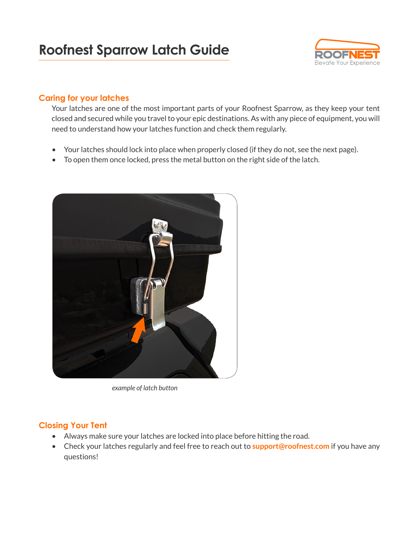

### **Caring for your latches**

Your latches are one of the most important parts of your Roofnest Sparrow, as they keep your tent closed and secured while you travel to your epic destinations. As with any piece of equipment, you will need to understand how your latches function and check them regularly.

- Your latches should lock into place when properly closed (if they do not, see the next page).
- To open them once locked, press the metal button on the right side of the latch.



*example of latch button*

# **Closing Your Tent**

- Always make sure your latches are locked into place before hitting the road.
- Check your latches regularly and feel free to reach out to **[support@roofnest.com](mailto:support%40roofnest.com?subject=)** if you have any questions!